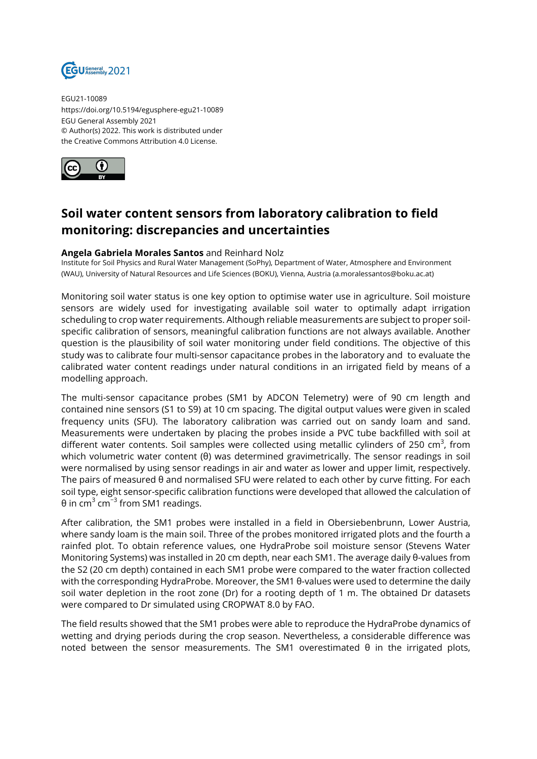

EGU21-10089 https://doi.org/10.5194/egusphere-egu21-10089 EGU General Assembly 2021 © Author(s) 2022. This work is distributed under the Creative Commons Attribution 4.0 License.



## **Soil water content sensors from laboratory calibration to field monitoring: discrepancies and uncertainties**

## **Angela Gabriela Morales Santos** and Reinhard Nolz

Institute for Soil Physics and Rural Water Management (SoPhy), Department of Water, Atmosphere and Environment (WAU), University of Natural Resources and Life Sciences (BOKU), Vienna, Austria (a.moralessantos@boku.ac.at)

Monitoring soil water status is one key option to optimise water use in agriculture. Soil moisture sensors are widely used for investigating available soil water to optimally adapt irrigation scheduling to crop water requirements. Although reliable measurements are subject to proper soilspecific calibration of sensors, meaningful calibration functions are not always available. Another question is the plausibility of soil water monitoring under field conditions. The objective of this study was to calibrate four multi-sensor capacitance probes in the laboratory and to evaluate the calibrated water content readings under natural conditions in an irrigated field by means of a modelling approach.

The multi-sensor capacitance probes (SM1 by ADCON Telemetry) were of 90 cm length and contained nine sensors (S1 to S9) at 10 cm spacing. The digital output values were given in scaled frequency units (SFU). The laboratory calibration was carried out on sandy loam and sand. Measurements were undertaken by placing the probes inside a PVC tube backfilled with soil at different water contents. Soil samples were collected using metallic cylinders of 250 cm<sup>3</sup>, from which volumetric water content (θ) was determined gravimetrically. The sensor readings in soil were normalised by using sensor readings in air and water as lower and upper limit, respectively. The pairs of measured θ and normalised SFU were related to each other by curve fitting. For each soil type, eight sensor-specific calibration functions were developed that allowed the calculation of θ in cm $^3$  cm $^{-3}$  from SM1 readings.

After calibration, the SM1 probes were installed in a field in Obersiebenbrunn, Lower Austria, where sandy loam is the main soil. Three of the probes monitored irrigated plots and the fourth a rainfed plot. To obtain reference values, one HydraProbe soil moisture sensor (Stevens Water Monitoring Systems) was installed in 20 cm depth, near each SM1. The average daily θ-values from the S2 (20 cm depth) contained in each SM1 probe were compared to the water fraction collected with the corresponding HydraProbe. Moreover, the SM1 θ-values were used to determine the daily soil water depletion in the root zone (Dr) for a rooting depth of 1 m. The obtained Dr datasets were compared to Dr simulated using CROPWAT 8.0 by FAO.

The field results showed that the SM1 probes were able to reproduce the HydraProbe dynamics of wetting and drying periods during the crop season. Nevertheless, a considerable difference was noted between the sensor measurements. The SM1 overestimated θ in the irrigated plots,